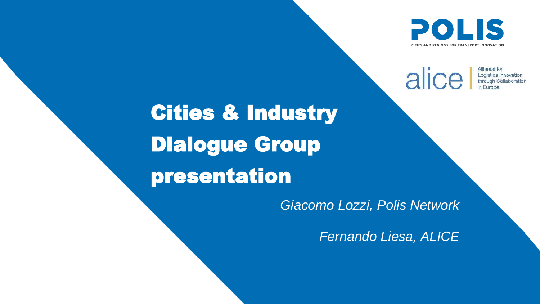# Cities & Industry Dialogue Group presentation



**CITIES AND REGIONS FOR TRANSPORT INNOVATION** 

alice Alliance for **Logistics Innovation** through Collaboration n Europe

### *Giacomo Lozzi, Polis Network*

*Fernando Liesa, ALICE*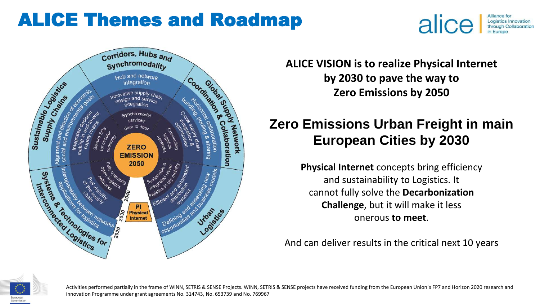Activities performed partially in the frame of WINN, SETRIS & SENSE Projects. WINN, SETRIS & SENSE projects have received funding from the European Union´s FP7 and Horizon 2020 research and innovation Programme under grant agreements No. 314743, No. 653739 and No. 769967



## ALICE Themes and Roadmap



**ALICE VISION is to realize Physical Internet by 2030 to pave the way to Zero Emissions by 2050**

## **Zero Emissions Urban Freight in main European Cities by 2030**

**Physical Internet** concepts bring efficiency and sustainability to Logistics. It cannot fully solve the **Decarbonization Challenge**, but it will make it less onerous **to meet**.

And can deliver results in the critical next 10 years

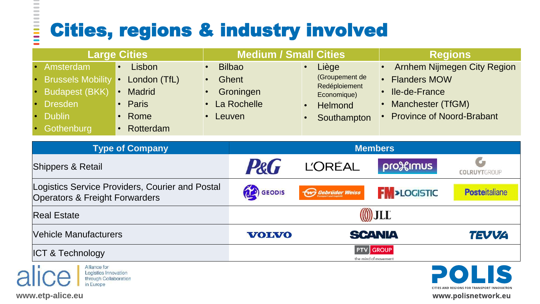C

 $\qquad \qquad$  $\qquad \qquad$  $\qquad \qquad$  $\sim$  $\blacksquare$  $\sim$ 

**EDUCED** 





# Cities, regions & industry involved

| <b>Large Cities</b>                                                                                             |                                                                       | <b>Medium / Small Cities</b>                                        |                                          |                                                                                          | <b>Regions</b>                                                                                                                        |                                                             |
|-----------------------------------------------------------------------------------------------------------------|-----------------------------------------------------------------------|---------------------------------------------------------------------|------------------------------------------|------------------------------------------------------------------------------------------|---------------------------------------------------------------------------------------------------------------------------------------|-------------------------------------------------------------|
| Amsterdam<br><b>Brussels Mobility</b><br><b>Budapest (BKK)</b><br><b>Dresden</b><br><b>Dublin</b><br>Gothenburg | Lisbon<br>London (TfL)<br><b>Madrid</b><br>Paris<br>Rome<br>Rotterdam | <b>Bilbao</b><br><b>Ghent</b><br>Groningen<br>La Rochelle<br>Leuven |                                          | Liège<br>(Groupement de<br>Redéploiement<br>Economique)<br><b>Helmond</b><br>Southampton | <b>Arnhem Nijmegen City Region</b><br>• Flanders MOW<br><b>Ile-de-France</b><br>Manchester (TfGM)<br><b>Province of Noord-Brabant</b> |                                                             |
| <b>Type of Company</b>                                                                                          |                                                                       |                                                                     | <b>Members</b>                           |                                                                                          |                                                                                                                                       |                                                             |
| <b>Shippers &amp; Retail</b>                                                                                    |                                                                       |                                                                     | P&G                                      | <b>L'ORÉAL</b>                                                                           | profelmus                                                                                                                             | <b>COLRUYTGROUP</b>                                         |
| Logistics Service Providers, Courier and Postal<br><b>Operators &amp; Freight Forwarders</b>                    |                                                                       |                                                                     | <b>CEODIS</b>                            | Gebrüder Weiss                                                                           | <b>FM</b> >LOGISTIC                                                                                                                   | <b>Posteitaliane</b>                                        |
| <b>Real Estate</b>                                                                                              |                                                                       |                                                                     | (O) JLL                                  |                                                                                          |                                                                                                                                       |                                                             |
| <b>Vehicle Manufacturers</b>                                                                                    |                                                                       |                                                                     | <b>VOLVO</b>                             | <b>SCANIA</b>                                                                            |                                                                                                                                       | <b>TEVVA</b>                                                |
| <b>ICT &amp; Technology</b>                                                                                     |                                                                       |                                                                     | <b>PTV</b> GROUP<br>the mind of movement |                                                                                          |                                                                                                                                       |                                                             |
| Alliance for<br>lice<br>Logistics Innovation<br>through Collaboration<br>in Europe                              |                                                                       |                                                                     |                                          |                                                                                          |                                                                                                                                       | POLIS<br><b>CITIES AND REGIONS FOR TRANSPORT INNOVATION</b> |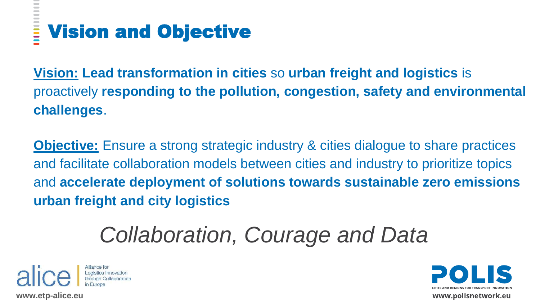

www.polisnetwork.eu

## **SECTE** Vision and Objective

**Vision: Lead transformation in cities** so **urban freight and logistics** is proactively **responding to the pollution, congestion, safety and environmental challenges**.

**Objective:** Ensure a strong strategic industry & cities dialogue to share practices and facilitate collaboration models between cities and industry to prioritize topics and **accelerate deployment of solutions towards sustainable zero emissions urban freight and city logistics**

# *Collaboration, Courage and Data*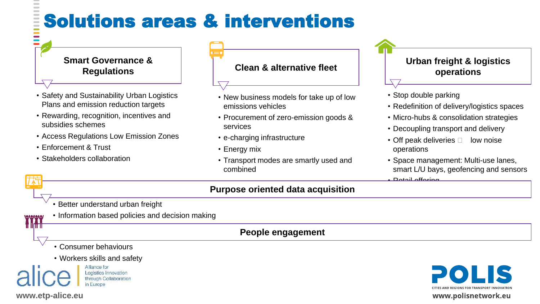**YYYY** 



# Solutions areas & interventions

# **Smart Governance &**

### **Regulations Clean & alternative fleet**

- Safety and Sustainability Urban Logistics Plans and emission reduction targets
- Rewarding, recognition, incentives and subsidies schemes
- Access Regulations Low Emission Zones
- Enforcement & Trust

 $\sim$ 

• Stakeholders collaboration

- New business models for take up of low emissions vehicles
- Procurement of zero-emission goods & services
- e-charging infrastructure
- Energy mix
- Transport modes are smartly used and combined





www.polisnetwork.eu

- Better understand urban freight
- Information based policies and decision making

### **Purpose oriented data acquisition**

### **People engagement**

- Consumer behaviours
- Workers skills and safety

Alliance for Logistics Innovation through Collaboration in Europe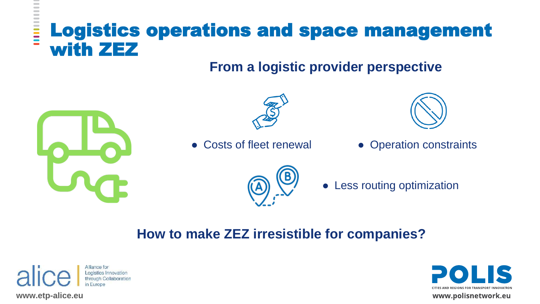### Logistics operations and space management E with ZEZ

**www.etp-alice.eu** 

 $\overline{\phantom{a}}$ 



### • Less routing optimization



www.polisnetwork.eu

## **From a logistic provider perspective**





• Costs of fleet renewal • Operation constraints



## **How to make ZEZ irresistible for companies?**

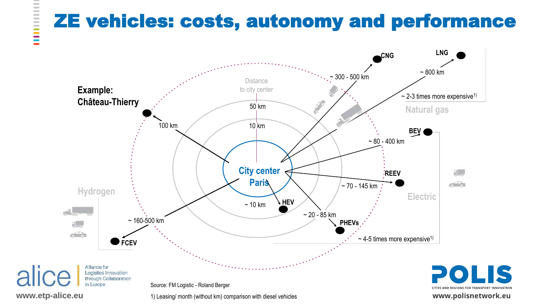



1) Leasing/ month (without km) comparison with diesel vehicles

www.polisnetwork.eu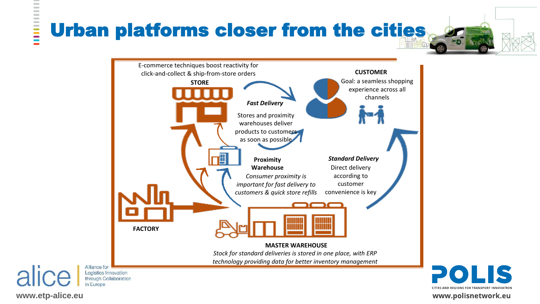$\sim$ 



#### *Standard Delivery*

**CUSTOMER** Goal: a seamless shopping experience across all channels



Direct delivery according to customer convenience is key



**CITIES AND REGIONS FOR TRANSPORT INNOVATION** 

#### www.polisnetwork.eu

# Urban platforms closer from the cities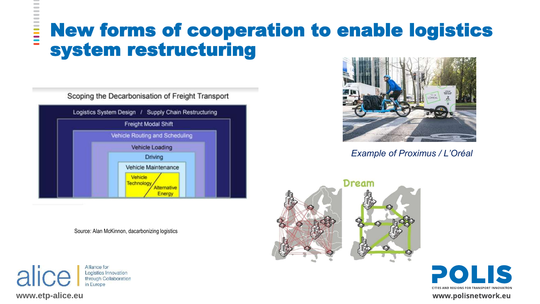$\qquad \qquad$  $\sim$ 





## New forms of cooperation to enable logistics **E** system restructuring

Scoping the Decarbonisation of Freight Transport



*Example of Proximus / L'Oréal*

#### Dream





**CITIES AND REGIONS FOR TRANSPORT INNOVATION** 

www.polisnetwork.eu

Source: Alan McKinnon, dacarbonizing logistics